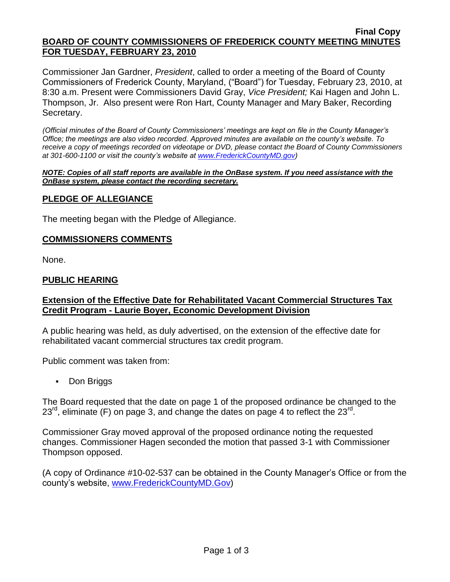#### **Final Copy BOARD OF COUNTY COMMISSIONERS OF FREDERICK COUNTY MEETING MINUTES FOR TUESDAY, FEBRUARY 23, 2010**

Commissioner Jan Gardner, *President*, called to order a meeting of the Board of County Commissioners of Frederick County, Maryland, ("Board") for Tuesday, February 23, 2010, at 8:30 a.m. Present were Commissioners David Gray, *Vice President;* Kai Hagen and John L. Thompson, Jr. Also present were Ron Hart, County Manager and Mary Baker, Recording Secretary.

*(Official minutes of the Board of County Commissioners' meetings are kept on file in the County Manager's Office; the meetings are also video recorded. Approved minutes are available on the county's website. To receive a copy of meetings recorded on videotape or DVD, please contact the Board of County Commissioners at 301-600-1100 or visit the county's website at [www.FrederickCountyMD.gov\)](http://www.frederickcountymd.gov/)*

#### *NOTE: Copies of all staff reports are available in the OnBase system. If you need assistance with the OnBase system, please contact the recording secretary.*

# **PLEDGE OF ALLEGIANCE**

The meeting began with the Pledge of Allegiance.

### **COMMISSIONERS COMMENTS**

None.

### **PUBLIC HEARING**

# **Extension of the Effective Date for Rehabilitated Vacant Commercial Structures Tax Credit Program - Laurie Boyer, Economic Development Division**

A public hearing was held, as duly advertised, on the extension of the effective date for rehabilitated vacant commercial structures tax credit program.

Public comment was taken from:

• Don Briggs

The Board requested that the date on page 1 of the proposed ordinance be changed to the  $23^{\text{rd}}$ , eliminate (F) on page 3, and change the dates on page 4 to reflect the  $23^{\text{rd}}$ .

Commissioner Gray moved approval of the proposed ordinance noting the requested changes. Commissioner Hagen seconded the motion that passed 3-1 with Commissioner Thompson opposed.

(A copy of Ordinance #10-02-537 can be obtained in the County Manager's Office or from the county's website, [www.FrederickCountyMD.Gov\)](http://www.frederickcountymd.gov/)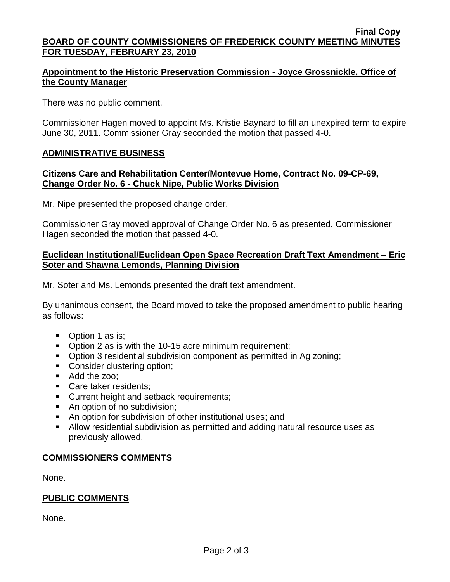#### **Final Copy BOARD OF COUNTY COMMISSIONERS OF FREDERICK COUNTY MEETING MINUTES FOR TUESDAY, FEBRUARY 23, 2010**

# **Appointment to the Historic Preservation Commission - Joyce Grossnickle, Office of the County Manager**

There was no public comment.

Commissioner Hagen moved to appoint Ms. Kristie Baynard to fill an unexpired term to expire June 30, 2011. Commissioner Gray seconded the motion that passed 4-0.

# **ADMINISTRATIVE BUSINESS**

### **Citizens Care and Rehabilitation Center/Montevue Home, Contract No. 09-CP-69, Change Order No. 6 - Chuck Nipe, Public Works Division**

Mr. Nipe presented the proposed change order.

Commissioner Gray moved approval of Change Order No. 6 as presented. Commissioner Hagen seconded the motion that passed 4-0.

### **Euclidean Institutional/Euclidean Open Space Recreation Draft Text Amendment – Eric Soter and Shawna Lemonds, Planning Division**

Mr. Soter and Ms. Lemonds presented the draft text amendment.

By unanimous consent, the Board moved to take the proposed amendment to public hearing as follows:

- Option 1 as is;
- Option 2 as is with the 10-15 acre minimum requirement;
- Option 3 residential subdivision component as permitted in Ag zoning;
- Consider clustering option;
- Add the zoo;
- Care taker residents;
- **Current height and setback requirements;**
- An option of no subdivision;
- An option for subdivision of other institutional uses; and
- Allow residential subdivision as permitted and adding natural resource uses as previously allowed.

# **COMMISSIONERS COMMENTS**

None.

### **PUBLIC COMMENTS**

None.